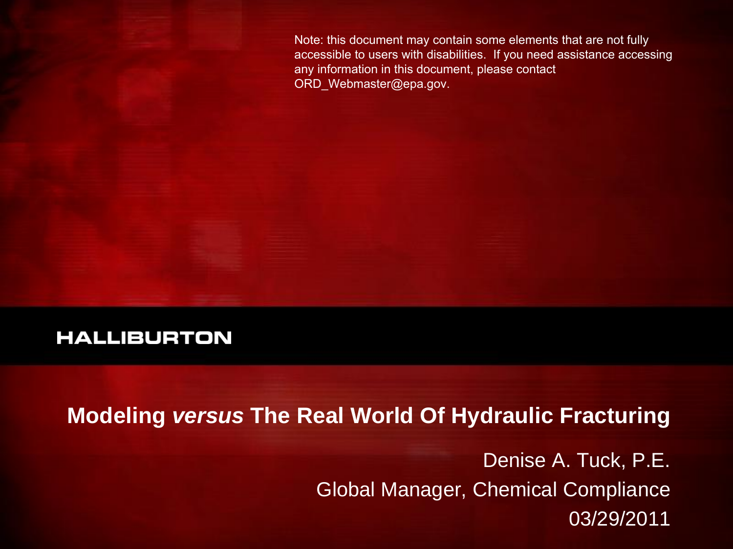Note: this document may contain some elements that are not fully accessible to users with disabilities. If you need assistance accessing any information in this document, please contact ORD\_Webmaster@epa.gov.

#### **HALLIBURTON**

**Modeling** *versus* **The Real World Of Hydraulic Fracturing**

Denise A. Tuck, P.E. Global Manager, Chemical Compliance 03/29/2011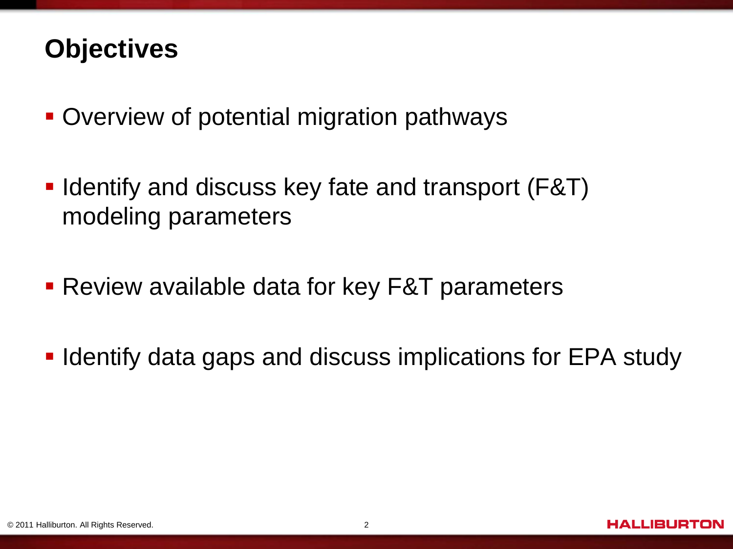#### **Objectives**

- Overview of potential migration pathways
- Identify and discuss key fate and transport (F&T) modeling parameters
- **Review available data for key F&T parameters**
- **IDENTIFY data gaps and discuss implications for EPA study**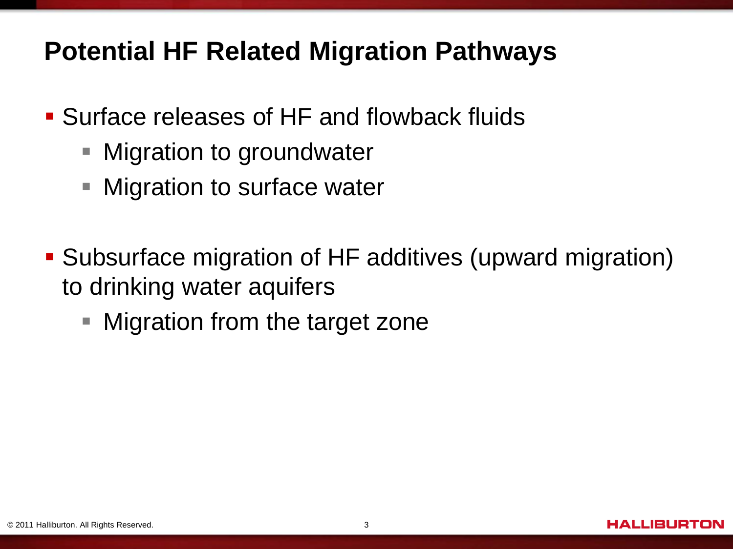## **Potential HF Related Migration Pathways**

- Surface releases of HF and flowback fluids
	- **Migration to groundwater**
	- **Migration to surface water**
- Subsurface migration of HF additives (upward migration) to drinking water aquifers
	- Migration from the target zone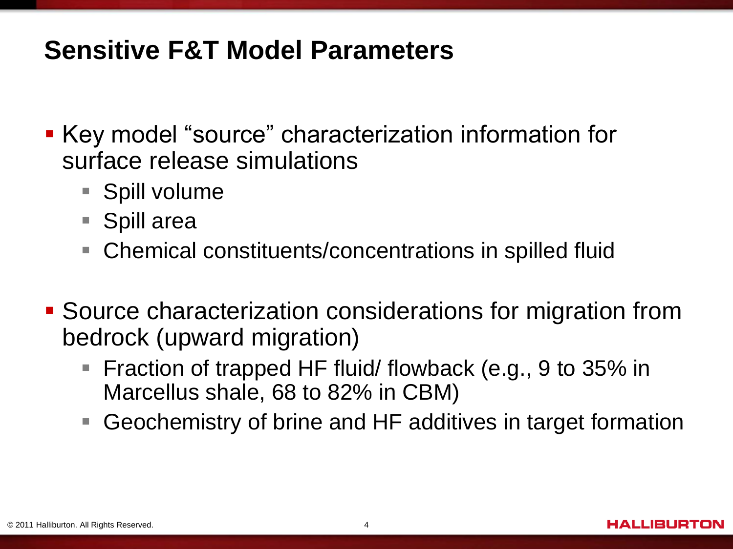#### **Sensitive F&T Model Parameters**

- Key model "source" characterization information for surface release simulations
	- **Spill volume**
	- Spill area
	- Chemical constituents/concentrations in spilled fluid
- Source characterization considerations for migration from bedrock (upward migration)
	- Fraction of trapped HF fluid/ flowback (e.g., 9 to 35% in Marcellus shale, 68 to 82% in CBM)
	- Geochemistry of brine and HF additives in target formation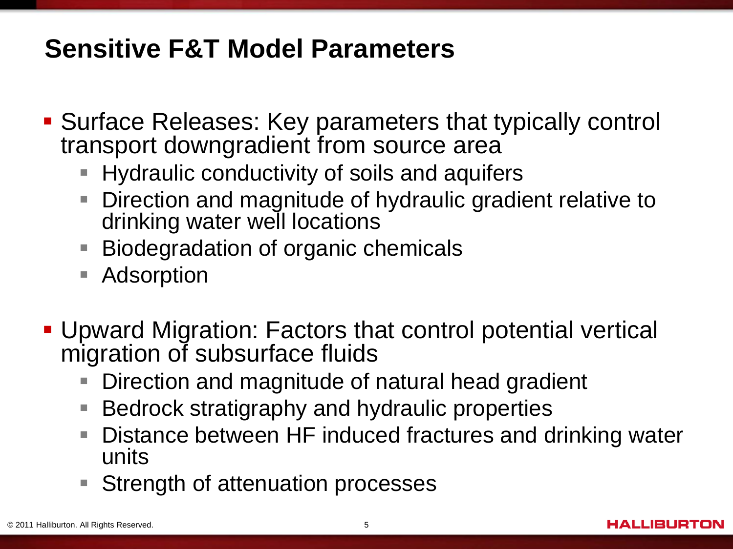# **Sensitive F&T Model Parameters**

- Surface Releases: Key parameters that typically control transport downgradient from source area
	- **Hydraulic conductivity of soils and aquifers**
	- $\overline{\phantom{a}}$ Direction and magnitude of hydraulic gradient relative to drinking water well locations
	- Biodegradation of organic chemicals
	- $\overline{\phantom{a}}$ Adsorption
- Upward Migration: Factors that control potential vertical migration of subsurface fluids
	- $\overline{\phantom{a}}$ Direction and magnitude of natural head gradient
	- $\Box$ Bedrock stratigraphy and hydraulic properties
	- $\overline{\phantom{a}}$ Distance between HF induced fractures and drinking water units
	- $\overline{\phantom{a}}$ Strength of attenuation processes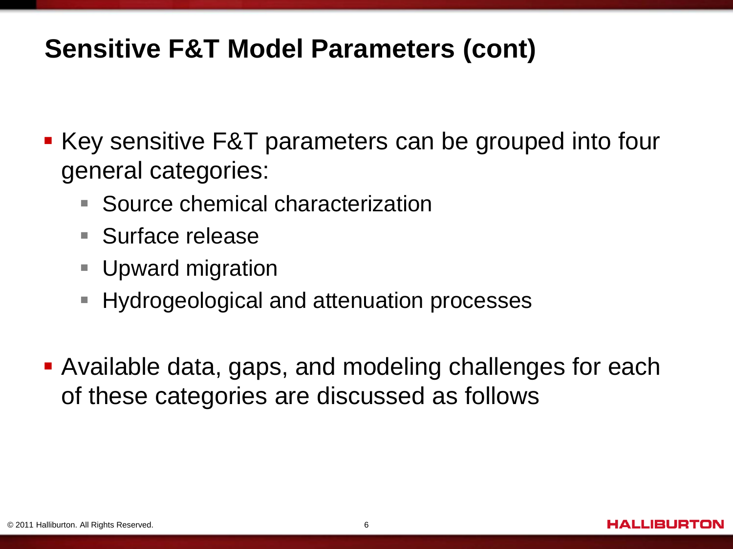## **Sensitive F&T Model Parameters (cont)**

- Key sensitive F&T parameters can be grouped into four general categories:
	- $\mathcal{C}$ Source chemical characterization
	- Surface release
	- **Upward migration**
	- $\overline{\phantom{a}}$ Hydrogeological and attenuation processes
- Available data, gaps, and modeling challenges for each of these categories are discussed as follows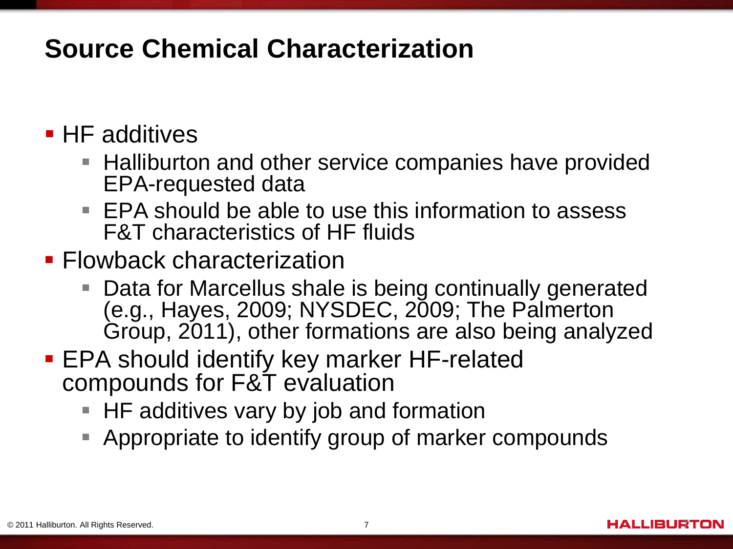## **Source Chemical Characterization**

#### **HF** additives

- **Halliburton and other service companies have provided** EPA-requested data
- **EPA should be able to use this information to assess** F&T characteristics of HF fluids
- **Flowback characterization** 
	- Data for Marcellus shale is being continually generated (e.g., Hayes, 2009; NYSDEC, 2009; The Palmerton Group, 2011), other formations are also being analyzed
- **EPA should identify key marker HF-related** compounds for F&T evaluation
	- **HF additives vary by job and formation**
	- **Appropriate to identify group of marker compounds**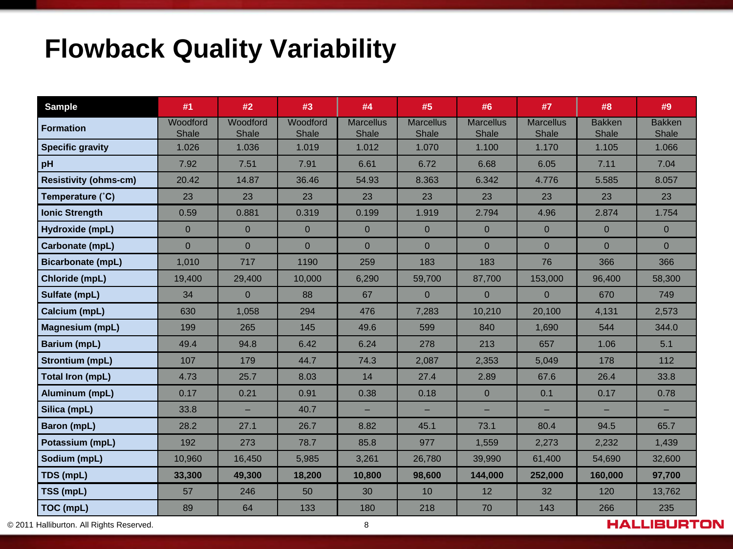## **Flowback Quality Variability**

| <b>Sample</b>                | #1                | #2                | #3                       | #4                        | #5                        | #6                        | #7                        | #8                     | #9                     |
|------------------------------|-------------------|-------------------|--------------------------|---------------------------|---------------------------|---------------------------|---------------------------|------------------------|------------------------|
| <b>Formation</b>             | Woodford<br>Shale | Woodford<br>Shale | Woodford<br><b>Shale</b> | <b>Marcellus</b><br>Shale | <b>Marcellus</b><br>Shale | <b>Marcellus</b><br>Shale | <b>Marcellus</b><br>Shale | <b>Bakken</b><br>Shale | <b>Bakken</b><br>Shale |
| <b>Specific gravity</b>      | 1.026             | 1.036             | 1.019                    | 1.012                     | 1.070                     | 1.100                     | 1.170                     | 1.105                  | 1.066                  |
| pH                           | 7.92              | 7.51              | 7.91                     | 6.61                      | 6.72                      | 6.68                      | 6.05                      | 7.11                   | 7.04                   |
| <b>Resistivity (ohms-cm)</b> | 20.42             | 14.87             | 36.46                    | 54.93                     | 8.363                     | 6.342                     | 4.776                     | 5.585                  | 8.057                  |
| Temperature (°C)             | 23                | 23                | 23                       | 23                        | 23                        | 23                        | 23                        | 23                     | 23                     |
| <b>Ionic Strength</b>        | 0.59              | 0.881             | 0.319                    | 0.199                     | 1.919                     | 2.794                     | 4.96                      | 2.874                  | 1.754                  |
| Hydroxide (mpL)              | $\overline{0}$    | $\overline{0}$    | $\overline{0}$           | $\overline{0}$            | $\overline{0}$            | $\overline{0}$            | $\overline{0}$            | $\mathbf{0}$           | $\overline{0}$         |
| Carbonate (mpL)              | $\overline{0}$    | $\overline{0}$    | $\overline{0}$           | $\overline{0}$            | $\overline{0}$            | $\overline{0}$            | $\overline{0}$            | $\overline{0}$         | $\overline{0}$         |
| <b>Bicarbonate (mpL)</b>     | 1,010             | 717               | 1190                     | 259                       | 183                       | 183                       | 76                        | 366                    | 366                    |
| Chloride (mpL)               | 19,400            | 29,400            | 10,000                   | 6,290                     | 59,700                    | 87,700                    | 153,000                   | 96,400                 | 58,300                 |
| Sulfate (mpL)                | 34                | $\Omega$          | 88                       | 67                        | $\overline{0}$            | $\Omega$                  | $\Omega$                  | 670                    | 749                    |
| Calcium (mpL)                | 630               | 1,058             | 294                      | 476                       | 7,283                     | 10,210                    | 20,100                    | 4,131                  | 2,573                  |
| <b>Magnesium (mpL)</b>       | 199               | 265               | 145                      | 49.6                      | 599                       | 840                       | 1,690                     | 544                    | 344.0                  |
| <b>Barium (mpL)</b>          | 49.4              | 94.8              | 6.42                     | 6.24                      | 278                       | 213                       | 657                       | 1.06                   | 5.1                    |
| Strontium (mpL)              | 107               | 179               | 44.7                     | 74.3                      | 2,087                     | 2,353                     | 5,049                     | 178                    | 112                    |
| Total Iron (mpL)             | 4.73              | 25.7              | 8.03                     | 14                        | 27.4                      | 2.89                      | 67.6                      | 26.4                   | 33.8                   |
| Aluminum (mpL)               | 0.17              | 0.21              | 0.91                     | 0.38                      | 0.18                      | $\overline{0}$            | 0.1                       | 0.17                   | 0.78                   |
| Silica (mpL)                 | 33.8              |                   | 40.7                     | ш,                        |                           |                           |                           |                        |                        |
| Baron (mpL)                  | 28.2              | 27.1              | 26.7                     | 8.82                      | 45.1                      | 73.1                      | 80.4                      | 94.5                   | 65.7                   |
| Potassium (mpL)              | 192               | 273               | 78.7                     | 85.8                      | 977                       | 1,559                     | 2,273                     | 2,232                  | 1,439                  |
| Sodium (mpL)                 | 10,960            | 16,450            | 5,985                    | 3,261                     | 26,780                    | 39,990                    | 61,400                    | 54,690                 | 32,600                 |
| TDS (mpL)                    | 33,300            | 49,300            | 18,200                   | 10,800                    | 98,600                    | 144,000                   | 252,000                   | 160,000                | 97,700                 |
| TSS (mpL)                    | 57                | 246               | 50                       | 30                        | 10                        | 12                        | 32                        | 120                    | 13,762                 |
| <b>TOC (mpL)</b>             | 89                | 64                | 133                      | 180                       | 218                       | 70                        | 143                       | 266                    | 235                    |

© 2011 Halliburton. All Rights Reserved. 8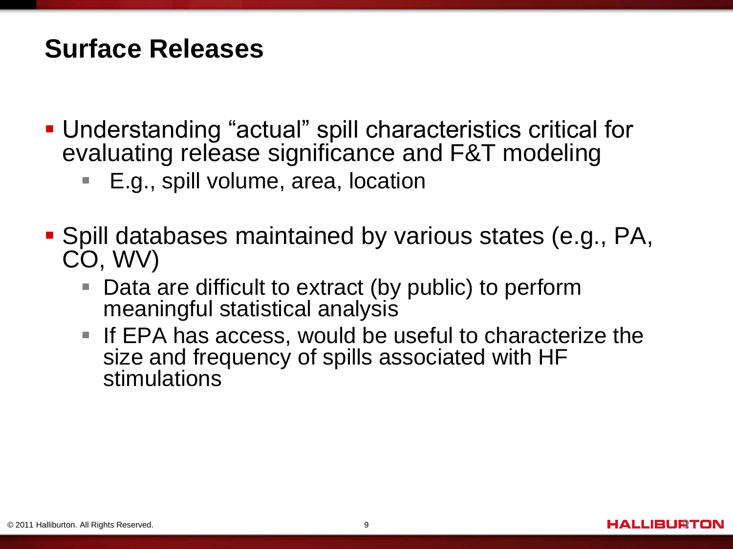#### **Surface Releases**

- Understanding "actual" spill characteristics critical for evaluating release significance and F&T modeling
	- E.g., spill volume, area, location
- Spill databases maintained by various states (e.g., PA, CO, WV)
	- Data are difficult to extract (by public) to perform meaningful statistical analysis
	- If EPA has access, would be useful to characterize the size and frequency of spills associated with HF stimulations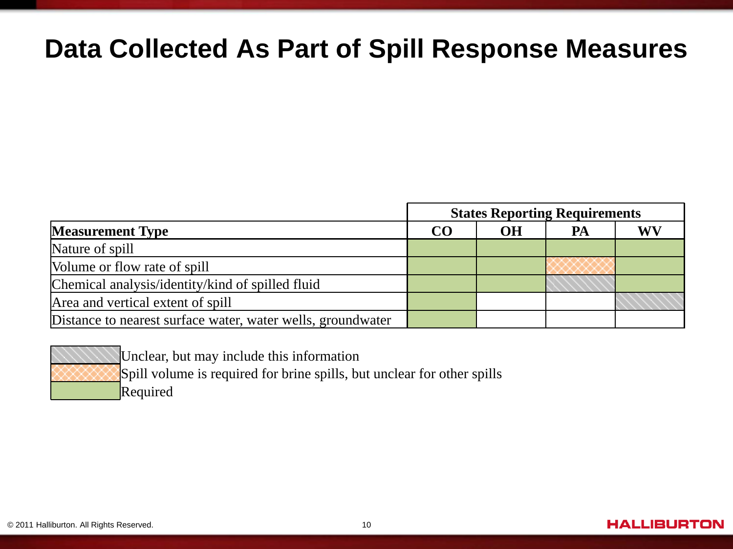#### **Data Collected As Part of Spill Response Measures**

|                                                             | <b>States Reporting Requirements</b> |           |    |    |  |  |  |
|-------------------------------------------------------------|--------------------------------------|-----------|----|----|--|--|--|
| <b>Measurement Type</b>                                     | CO                                   | <b>OH</b> | PA | WV |  |  |  |
| Nature of spill                                             |                                      |           |    |    |  |  |  |
| Volume or flow rate of spill                                |                                      |           |    |    |  |  |  |
| Chemical analysis/identity/kind of spilled fluid            |                                      |           |    |    |  |  |  |
| Area and vertical extent of spill                           |                                      |           |    |    |  |  |  |
| Distance to nearest surface water, water wells, groundwater |                                      |           |    |    |  |  |  |



Unclear, but may include this information Spill volume is required for brine spills, but unclear for other spills Required

#### **HALLIBURTON**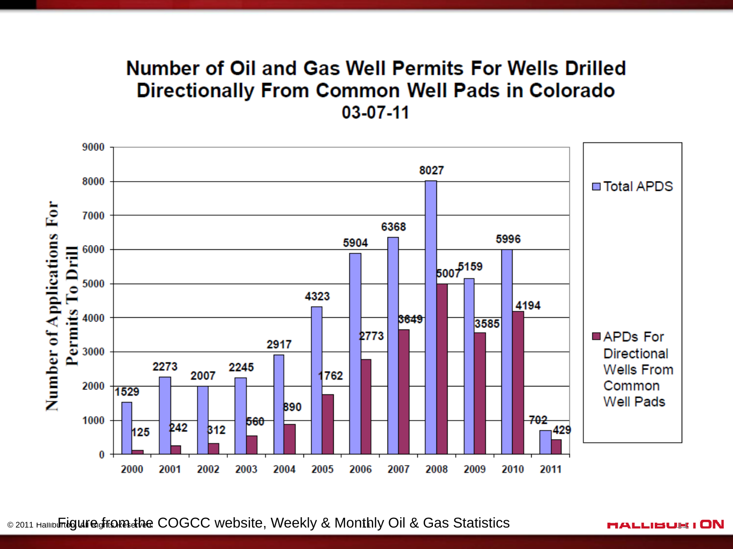#### Number of Oil and Gas Well Permits For Wells Drilled **Directionally From Common Well Pads in Colorado** 03-07-11



© 2011 Halliburton. All Rights Reserved. Figure from the COGCC website, Weekly & Monthly Oil & Gas Statistics <sup>11</sup> 11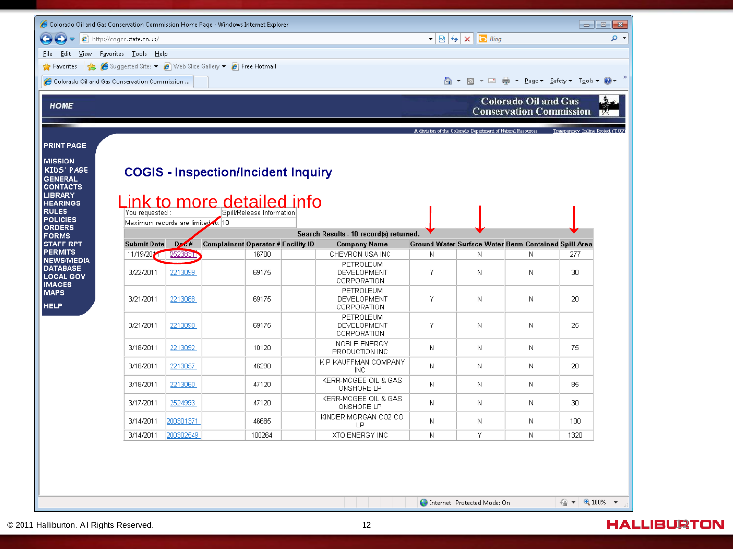| $\bullet$ $\bullet$ http://cogcc.state.co.us/<br>$\bigodot$<br>Eile -<br><b>Favorites</b> $\frac{1}{2}$ <b>A</b> Suggested Sites $\bullet$ <b>A</b> Web Slice Gallery $\bullet$ <b>A</b> Free Hotmail |                                              |              |                                                                                                       |  |                                         |   |                                                                                                     |                                                             |                                                                                        |  |  |  |  |
|-------------------------------------------------------------------------------------------------------------------------------------------------------------------------------------------------------|----------------------------------------------|--------------|-------------------------------------------------------------------------------------------------------|--|-----------------------------------------|---|-----------------------------------------------------------------------------------------------------|-------------------------------------------------------------|----------------------------------------------------------------------------------------|--|--|--|--|
|                                                                                                                                                                                                       |                                              |              |                                                                                                       |  |                                         |   | $\mathbf{r} \times \mathbf{r}$ $\mathbf{r} \times \mathbf{r}$ $\mathbf{r} \times \mathbf{r}$<br>- م |                                                             |                                                                                        |  |  |  |  |
|                                                                                                                                                                                                       |                                              |              | Edit View Favorites Tools Help                                                                        |  |                                         |   |                                                                                                     |                                                             |                                                                                        |  |  |  |  |
|                                                                                                                                                                                                       |                                              |              |                                                                                                       |  |                                         |   |                                                                                                     |                                                             |                                                                                        |  |  |  |  |
|                                                                                                                                                                                                       | Colorado Oil and Gas Conservation Commission |              |                                                                                                       |  |                                         |   |                                                                                                     |                                                             |                                                                                        |  |  |  |  |
| <b>Colorado Oil and Gas</b><br><b>HOME</b><br><b>Conservation Commission</b><br><b>LXI</b>                                                                                                            |                                              |              |                                                                                                       |  |                                         |   |                                                                                                     |                                                             |                                                                                        |  |  |  |  |
|                                                                                                                                                                                                       |                                              |              |                                                                                                       |  |                                         |   |                                                                                                     |                                                             | A division of the Colorado Department of Natural Resources Transparency Online Project |  |  |  |  |
| <b>PRINT PAGE</b>                                                                                                                                                                                     |                                              |              |                                                                                                       |  |                                         |   |                                                                                                     |                                                             |                                                                                        |  |  |  |  |
| <b>MISSION</b><br>KIDS' PAGE<br><b>GENERAL</b><br><b>CONTACTS</b><br><b>LIBRARY</b><br><b>HEARINGS</b><br><b>RULES</b>                                                                                | You requested :                              |              | <b>COGIS - Inspection/Incident Inquiry</b><br>Link to more detailed info<br>Spill/Release Information |  |                                         |   |                                                                                                     |                                                             |                                                                                        |  |  |  |  |
| <b>POLICIES</b><br><b>ORDERS</b>                                                                                                                                                                      | Maximum records are limited to: 10           |              |                                                                                                       |  |                                         |   |                                                                                                     |                                                             |                                                                                        |  |  |  |  |
| <b>FORMS</b>                                                                                                                                                                                          |                                              |              |                                                                                                       |  | Search Results - 10 record(s) returned. |   |                                                                                                     |                                                             |                                                                                        |  |  |  |  |
| <b>STAFF RPT</b>                                                                                                                                                                                      | <b>Submit Date</b>                           | $D \times H$ | <b>Complainant Operator # Facility ID</b>                                                             |  | <b>Company Name</b>                     |   |                                                                                                     | <b>Ground Water Surface Water Berm Contained Spill Area</b> |                                                                                        |  |  |  |  |
| <b>PERMITS</b><br><b>NEWS/MEDIA</b>                                                                                                                                                                   | 11/19/2021                                   | 2523831      | 16700                                                                                                 |  | CHEVRON USA INC                         | N | N                                                                                                   | N                                                           | 277                                                                                    |  |  |  |  |
| <b>DATABASE</b><br><b>LOCAL GOV</b><br><b>IMAGES</b>                                                                                                                                                  | 3/22/2011                                    | 2213099      | 69175                                                                                                 |  | PETROLEUM<br>DEVELOPMENT<br>CORPORATION | Υ | N                                                                                                   | N                                                           | 30                                                                                     |  |  |  |  |
| <b>MAPS</b><br><b>HELP</b>                                                                                                                                                                            | 3/21/2011                                    | 2213088      | 69175                                                                                                 |  | PETROLEUM<br>DEVELOPMENT<br>CORPORATION | Y | N                                                                                                   | N                                                           | 20                                                                                     |  |  |  |  |
|                                                                                                                                                                                                       | 3/21/2011                                    | 2213090      | 69175                                                                                                 |  | PETROLEUM<br>DEVELOPMENT<br>CORPORATION | Υ | Ν                                                                                                   | Ν                                                           | 25                                                                                     |  |  |  |  |
|                                                                                                                                                                                                       | 3/18/2011                                    | 2213092      | 10120                                                                                                 |  | NOBLE ENERGY<br>PRODUCTION INC          | Ν | Ν                                                                                                   | N                                                           | 75                                                                                     |  |  |  |  |
|                                                                                                                                                                                                       | 3/18/2011                                    | 2213057      | 46290                                                                                                 |  | K P KAUFFMAN COMPANY<br><b>INC</b>      | N | Ν                                                                                                   | Ν                                                           | 20                                                                                     |  |  |  |  |
|                                                                                                                                                                                                       | 3/18/2011                                    | 2213060      | 47120                                                                                                 |  | KERR-MCGEE OIL & GAS<br>ONSHORE LP      | N | Ν                                                                                                   | N                                                           | 85                                                                                     |  |  |  |  |
|                                                                                                                                                                                                       | 3/17/2011                                    | 2524993      | 47120                                                                                                 |  | KERR-MCGEE OIL & GAS<br>ONSHORE LP      | N | Ν                                                                                                   | Ν                                                           | 30                                                                                     |  |  |  |  |
|                                                                                                                                                                                                       | 3/14/2011                                    | 200301371    | 46685                                                                                                 |  | KINDER MORGAN CO2 CO<br>LP.             | N | N                                                                                                   | N                                                           | 100                                                                                    |  |  |  |  |
|                                                                                                                                                                                                       | 3/14/2011                                    | 200302549    | 100264                                                                                                |  | XTO ENERGY INC                          | N | Y                                                                                                   | N                                                           | 1320                                                                                   |  |  |  |  |

<sup>1</sup> Internet | Protected Mode: On

 $\leftarrow$   $\bullet$  100%  $\bullet$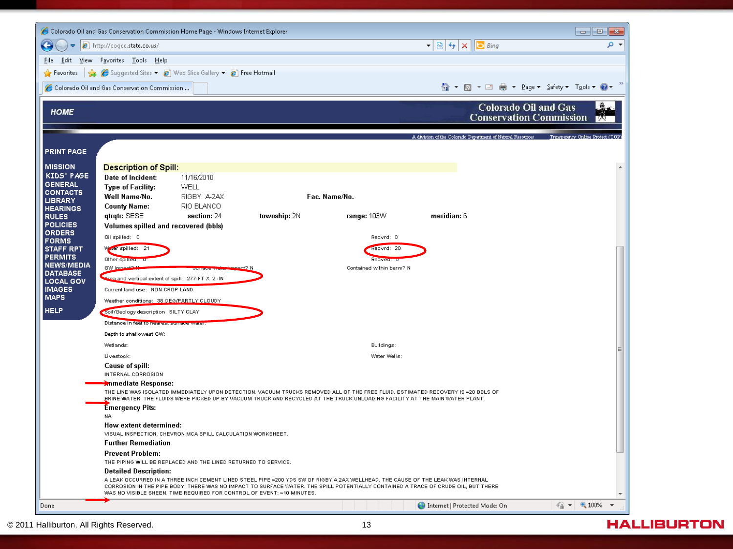|                                                                                                                                                                                                                                                                                                                                                                                | - 0 x       |
|--------------------------------------------------------------------------------------------------------------------------------------------------------------------------------------------------------------------------------------------------------------------------------------------------------------------------------------------------------------------------------|-------------|
| $\mathbf{r} \times \mathbf{r}$ $\mathbf{r} \times \mathbf{r}$ $\mathbf{r} \times \mathbf{r}$<br>$e$ http://coqcc.state.co.us/                                                                                                                                                                                                                                                  | - م         |
| Favorites Tools Help<br>Edit<br>View<br>File                                                                                                                                                                                                                                                                                                                                   |             |
| Suggested Sites v e Web Slice Gallery v e Free Hotmail<br>酓<br><b>Favorites</b>                                                                                                                                                                                                                                                                                                |             |
|                                                                                                                                                                                                                                                                                                                                                                                |             |
| Colorado Oil and Gas Conservation Commission                                                                                                                                                                                                                                                                                                                                   |             |
| <b>Colorado Oil and Gas</b><br><b>HOME</b><br><b>Conservation Commission</b><br>A division of the Colorado Department of Natural Resources<br>Transparency Online Project (TOP)<br><b>PRINT PAGE</b>                                                                                                                                                                           | <b>IIIX</b> |
| <b>MISSION</b>                                                                                                                                                                                                                                                                                                                                                                 |             |
| <b>Description of Spill:</b><br>KIDS' PAGE<br>Date of Incident:<br>11/16/2010                                                                                                                                                                                                                                                                                                  |             |
| <b>GENERAL</b><br><b>WELL</b><br><b>Type of Facility:</b>                                                                                                                                                                                                                                                                                                                      |             |
| <b>CONTACTS</b><br>Fac. Name/No.<br>Well Name/No.<br>RIGBY A-2AX<br><b>LIBRARY</b>                                                                                                                                                                                                                                                                                             |             |
| <b>County Name:</b><br>RIO BLANCO<br><b>HEARINGS</b>                                                                                                                                                                                                                                                                                                                           |             |
| qtrqtr: SESE<br>section: 24<br>township: 2N<br>range: 103W<br>meridian: 6<br><b>RULES</b>                                                                                                                                                                                                                                                                                      |             |
| <b>POLICIES</b><br>Volumes spilled and recovered (bbls)<br><b>ORDERS</b>                                                                                                                                                                                                                                                                                                       |             |
| Oil spilled: 0<br>Reovrd: 0<br><b>FORMS</b>                                                                                                                                                                                                                                                                                                                                    |             |
| Water spilled: 21<br><b>STAFF RPT</b><br>Reovrd: 20<br><b>PERMITS</b>                                                                                                                                                                                                                                                                                                          |             |
| Other spines<br><b>Reoveur</b><br><b>NEWS/MEDIA</b><br>GW Impa<br>Contained within berm? N                                                                                                                                                                                                                                                                                     |             |
| <b>DATABASE</b><br>Area and vertical extent of spill: 277-FT X 2 -IN                                                                                                                                                                                                                                                                                                           |             |
| <b>LOCAL GOV</b><br><b>IMAGES</b><br>Current land use: NON CROP LAND                                                                                                                                                                                                                                                                                                           |             |
| <b>MAPS</b><br>Weather conditions: 38 DEG/PARTLY CLOUDY                                                                                                                                                                                                                                                                                                                        |             |
| <b>HELP</b><br>Soil/Geology description SILTY CLAY                                                                                                                                                                                                                                                                                                                             |             |
| Distance in feet to nearest sur                                                                                                                                                                                                                                                                                                                                                |             |
| Depth to shallowest GW:                                                                                                                                                                                                                                                                                                                                                        |             |
| Wetlands:<br>Buildings:                                                                                                                                                                                                                                                                                                                                                        |             |
| Livestook:<br>Water Wells:                                                                                                                                                                                                                                                                                                                                                     |             |
| Cause of spill:                                                                                                                                                                                                                                                                                                                                                                |             |
| INTERNAL CORROSION                                                                                                                                                                                                                                                                                                                                                             |             |
| <b>Anmediate Response:</b><br>THE LINE WAS ISOLATED IMMEDIATELY UPON DETECTION, VACUUM TRUCKS REMOVED ALL OF THE FREE FLUID, ESTIMATED RECOVERY IS ~20 BBLS OF<br>BRINE WATER. THE FLUIDS WERE PICKED UP BY VACUUM TRUCK AND RECYCLED AT THE TRUCK UNLOADING FACILITY AT THE MAIN WATER PLANT.                                                                                 |             |
| <b>Emergency Pits:</b>                                                                                                                                                                                                                                                                                                                                                         |             |
| NA.                                                                                                                                                                                                                                                                                                                                                                            |             |
| How extent determined:<br>VISUAL INSPECTION, CHEVRON MCA SPILL CALCULATION WORKSHEET.                                                                                                                                                                                                                                                                                          |             |
| <b>Further Remediation</b>                                                                                                                                                                                                                                                                                                                                                     |             |
| <b>Prevent Problem:</b>                                                                                                                                                                                                                                                                                                                                                        |             |
| THE PIPING WILL BE REPLACED AND THE LINED RETURNED TO SERVICE.                                                                                                                                                                                                                                                                                                                 |             |
| <b>Detailed Description:</b><br>A LEAK OCCURRED IN A THREE INCH CEMENT LINED STEEL PIPE ~200 YDS SW OF RIGBY A 2AX WELLHEAD. THE CAUSE OF THE LEAK WAS INTERNAL<br>CORROSION IN THE PIPE BODY. THERE WAS NO IMPACT TO SURFACE WATER. THE SPILL POTENTIALLY CONTAINED A TRACE OF CRUDE OIL, BUT THERE<br>WAS NO VISIBLE SHEEN. TIME REQUIRED FOR CONTROL OF EVENT: ~10 MINUTES. |             |
| $\frac{1}{2}$ $\sqrt{2}$ 100% $\sqrt{2}$<br>Internet   Protected Mode: On<br>Done                                                                                                                                                                                                                                                                                              |             |

#### **HALLIBURTON**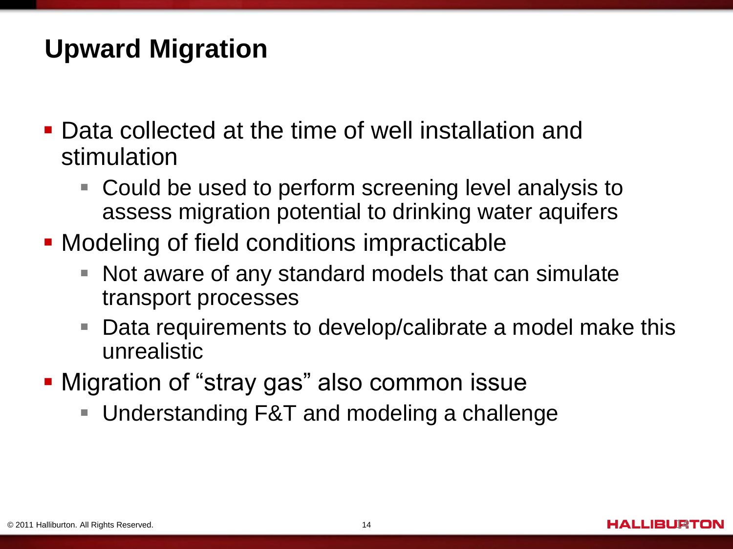# **Upward Migration**

- **Data collected at the time of well installation and** stimulation
	- Could be used to perform screening level analysis to assess migration potential to drinking water aquifers
- **Modeling of field conditions impracticable** 
	- Е Not aware of any standard models that can simulate transport processes
	- $\mathcal{L}_{\mathcal{A}}$ Data requirements to develop/calibrate a model make this unrealistic
- Migration of "stray gas" also common issue
	- Understanding F&T and modeling a challenge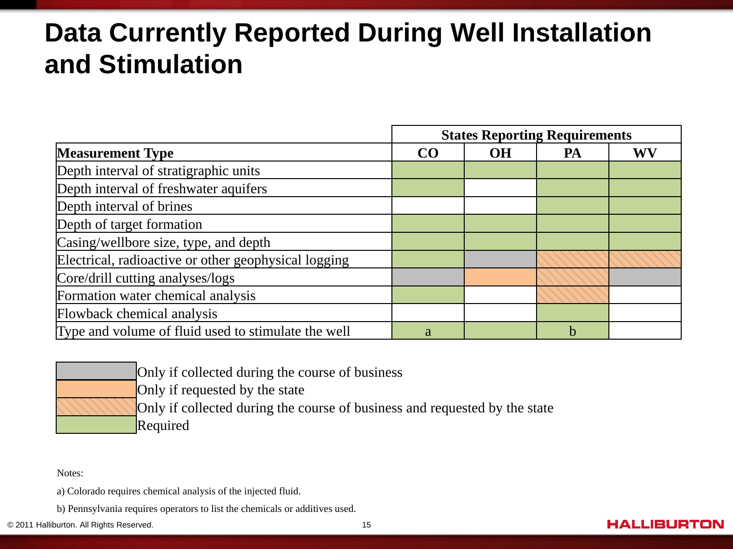# **Data Currently Reported During Well Installation and Stimulation**

|                                                      | <b>States Reporting Requirements</b> |           |    |    |  |  |
|------------------------------------------------------|--------------------------------------|-----------|----|----|--|--|
| <b>Measurement Type</b>                              | CO                                   | <b>OH</b> | PA | WV |  |  |
| Depth interval of stratigraphic units                |                                      |           |    |    |  |  |
| Depth interval of freshwater aquifers                |                                      |           |    |    |  |  |
| Depth interval of brines                             |                                      |           |    |    |  |  |
| Depth of target formation                            |                                      |           |    |    |  |  |
| Casing/wellbore size, type, and depth                |                                      |           |    |    |  |  |
| Electrical, radioactive or other geophysical logging |                                      |           |    |    |  |  |
| Core/drill cutting analyses/logs                     |                                      |           |    |    |  |  |
| Formation water chemical analysis                    |                                      |           |    |    |  |  |
| Flowback chemical analysis                           |                                      |           |    |    |  |  |
| Type and volume of fluid used to stimulate the well  | a                                    |           | h  |    |  |  |

| Only if collected during the course of business                            |
|----------------------------------------------------------------------------|
| Only if requested by the state                                             |
| Only if collected during the course of business and requested by the state |
| Required                                                                   |

Notes:

a) Colorado requires chemical analysis of the injected fluid.

b) Pennsylvania requires operators to list the chemicals or additives used.

© 2011 Halliburton. All Rights Reserved. 15

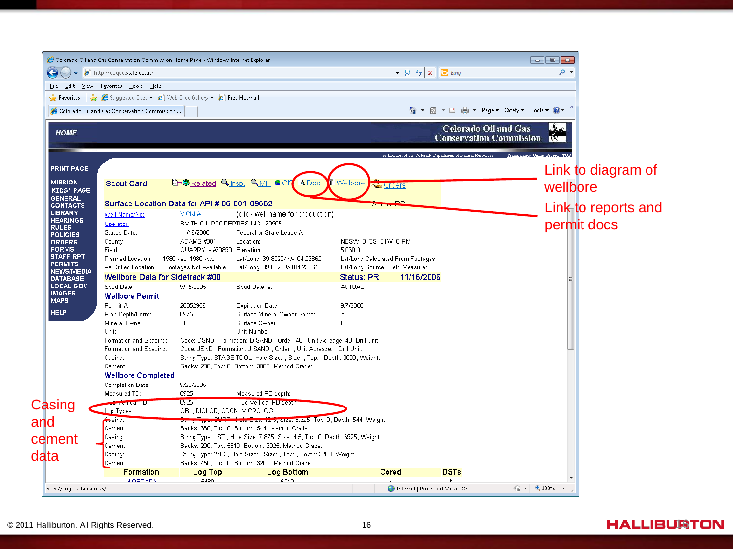|                                     | Colorado Oil and Gas Conservation Commission Home Page - Windows Internet Explorer                                             |                                             |                                                                                                                               |                                                                      |                                                                                                               |                                                               | $\begin{array}{c c c c c c} \hline \multicolumn{3}{c }{\mathbf{C}} & \multicolumn{3}{c }{\mathbf{X}} \end{array}$ |                     |
|-------------------------------------|--------------------------------------------------------------------------------------------------------------------------------|---------------------------------------------|-------------------------------------------------------------------------------------------------------------------------------|----------------------------------------------------------------------|---------------------------------------------------------------------------------------------------------------|---------------------------------------------------------------|-------------------------------------------------------------------------------------------------------------------|---------------------|
| $\bigodot$ (                        | $\bullet$ $\bullet$ http://coqcc.state.co.us/                                                                                  |                                             |                                                                                                                               |                                                                      | $\mathbf{F} \otimes \mathbf{F}$ $\mathbf{F}$ $\mathbf{F}$ $\mathbf{F}$ $\mathbf{F}$ $\mathbf{F}$ $\mathbf{F}$ |                                                               | - م                                                                                                               |                     |
|                                     | File Edit View Favorites Tools Help                                                                                            |                                             |                                                                                                                               |                                                                      |                                                                                                               |                                                               |                                                                                                                   |                     |
|                                     | <b>P</b> Favorites $\frac{1}{2}$ <b>C</b> Suggested Sites $\bullet$ <b>C</b> Web Slice Gallery $\bullet$ <b>C</b> Free Hotmail |                                             |                                                                                                                               |                                                                      |                                                                                                               |                                                               |                                                                                                                   |                     |
|                                     | Colorado Oil and Gas Conservation Commission                                                                                   |                                             |                                                                                                                               |                                                                      |                                                                                                               |                                                               |                                                                                                                   |                     |
|                                     |                                                                                                                                |                                             |                                                                                                                               |                                                                      |                                                                                                               |                                                               |                                                                                                                   |                     |
| <b>HOME</b>                         |                                                                                                                                |                                             |                                                                                                                               |                                                                      |                                                                                                               | <b>Colorado Oil and Gas</b><br><b>Conservation Commission</b> | . A.                                                                                                              |                     |
|                                     |                                                                                                                                |                                             |                                                                                                                               |                                                                      |                                                                                                               |                                                               | Transparency Online Project (TOP                                                                                  |                     |
| <b>PRINT PAGE</b>                   |                                                                                                                                |                                             |                                                                                                                               |                                                                      |                                                                                                               |                                                               |                                                                                                                   | Link to diagram of  |
| <b>MISSION</b>                      | <b>Scout Card</b>                                                                                                              |                                             | <b>B-@</b> Related <b>Q</b> Insp. <b>Q</b> MIT <b>C</b> GIS <b>Q</b> Doc                                                      | Wellbore<br><b>Zes</b> Orders                                        |                                                                                                               |                                                               | wellbore                                                                                                          |                     |
| KIDS' PAGE<br><b>GENERAL</b>        |                                                                                                                                |                                             |                                                                                                                               |                                                                      |                                                                                                               |                                                               |                                                                                                                   |                     |
| <b>CONTACTS</b>                     | Surface Location Data for API # 05-001-09552                                                                                   |                                             |                                                                                                                               | <b>Diciem</b>                                                        | DD.                                                                                                           |                                                               |                                                                                                                   |                     |
| <b>LIBRARY</b>                      | Well Name/No:                                                                                                                  | VICKI#1                                     | (click well name for production)                                                                                              |                                                                      |                                                                                                               |                                                               |                                                                                                                   | Link to reports and |
| <b>HEARINGS</b><br><b>RULES</b>     | Operator:                                                                                                                      |                                             | SMITH OIL PROPERTIES INC - 79905                                                                                              |                                                                      |                                                                                                               |                                                               |                                                                                                                   | permit docs         |
| <b>POLICIES</b>                     | Status Date:                                                                                                                   | 11/16/2006                                  | Federal or State Lease #                                                                                                      |                                                                      |                                                                                                               |                                                               |                                                                                                                   |                     |
| <b>ORDERS</b>                       | County:                                                                                                                        | ADAMS #001                                  | Location:                                                                                                                     | NESW 8 3S 61W 6 PM                                                   |                                                                                                               |                                                               |                                                                                                                   |                     |
| <b>FORMS</b><br><b>STAFF RPT</b>    | Field:                                                                                                                         | QUARRY - #70890 Elevation:                  |                                                                                                                               | $5,060$ ft.                                                          |                                                                                                               |                                                               |                                                                                                                   |                     |
| <b>PERMITS</b>                      | Planned Location<br>As Drilled Location                                                                                        | 1980 FSL 1980 FWL<br>Footages Not Available | Lat/Long: 39.802244/-104.23862<br>Lat/Long: 39.80239/-104.23861                                                               | Lat/Long Calculated From Footages<br>Lat/Long Source: Field Measured |                                                                                                               |                                                               |                                                                                                                   |                     |
| <b>NEWS/MEDIA</b>                   | Wellbore Data for Sidetrack #00                                                                                                |                                             |                                                                                                                               | Status: PR                                                           | 11/16/2006                                                                                                    |                                                               |                                                                                                                   |                     |
| <b>DATABASE</b><br><b>LOCAL GOV</b> | Spud Date:                                                                                                                     | 9/15/2005                                   | Spud Date is:                                                                                                                 | <b>ACTUAL</b>                                                        |                                                                                                               |                                                               |                                                                                                                   |                     |
| <b>IMAGES</b>                       | <b>Wellbore Permit</b>                                                                                                         |                                             |                                                                                                                               |                                                                      |                                                                                                               |                                                               |                                                                                                                   |                     |
| <b>MAPS</b>                         | Permit #                                                                                                                       | 20052956                                    | <b>Expiration Date:</b>                                                                                                       | 9/7/2006                                                             |                                                                                                               |                                                               |                                                                                                                   |                     |
| <b>HELP</b>                         | Prop Depth/Form:                                                                                                               | 6975                                        | Surface Mineral Owner Same:                                                                                                   | Y                                                                    |                                                                                                               |                                                               |                                                                                                                   |                     |
|                                     | Mineral Owner:                                                                                                                 | <b>FEE</b>                                  | Surface Owner:                                                                                                                | <b>FEE</b>                                                           |                                                                                                               |                                                               |                                                                                                                   |                     |
|                                     | Unit:                                                                                                                          |                                             | Unit Number:                                                                                                                  |                                                                      |                                                                                                               |                                                               |                                                                                                                   |                     |
|                                     | Formation and Spacing:                                                                                                         |                                             | Code: DSND , Formation: D SAND , Order: 40 , Unit Acreage: 40, Drill Unit:                                                    |                                                                      |                                                                                                               |                                                               |                                                                                                                   |                     |
|                                     | Formation and Spacing:                                                                                                         |                                             | Code: JSND, Formation: J SAND, Order: , Unit Acreage: , Drill Unit:                                                           |                                                                      |                                                                                                               |                                                               |                                                                                                                   |                     |
|                                     | Casing:<br>Cement:                                                                                                             |                                             | String Type: STAGE TOOL, Hole Size: , Size: , Top: , Depth: 3000, Weight:<br>Sacks: 200, Top: 0, Bottom: 3000, Method Grade:  |                                                                      |                                                                                                               |                                                               |                                                                                                                   |                     |
|                                     | <b>Wellbore Completed</b>                                                                                                      |                                             |                                                                                                                               |                                                                      |                                                                                                               |                                                               |                                                                                                                   |                     |
|                                     | Completion Date:                                                                                                               | 9/20/2005                                   |                                                                                                                               |                                                                      |                                                                                                               |                                                               |                                                                                                                   |                     |
|                                     | Measured TD:                                                                                                                   | 6925                                        | Measured PB depth:                                                                                                            |                                                                      |                                                                                                               |                                                               |                                                                                                                   |                     |
| Casing                              | Trus Venneal TD.                                                                                                               | 6925                                        | True Vertical PB depm.                                                                                                        |                                                                      |                                                                                                               |                                                               |                                                                                                                   |                     |
|                                     | Log Types:                                                                                                                     | GBL, DIGLGR, CDCN, MICROLOG                 |                                                                                                                               |                                                                      |                                                                                                               |                                                               |                                                                                                                   |                     |
| and                                 | Casing:                                                                                                                        |                                             | SURF Hold Cize. 12.5, Size: 6.625, Top: 0, Depth: 544, Weight:                                                                |                                                                      |                                                                                                               |                                                               |                                                                                                                   |                     |
|                                     | Cement:<br>Casing:                                                                                                             |                                             | Sacks: 380, Top: 0, Bottom: 544, Method Grade:<br>String Type: 1ST, Hole Size: 7.875, Size: 4.5, Top: 0, Depth: 6925, Weight: |                                                                      |                                                                                                               |                                                               |                                                                                                                   |                     |
| cement                              | Cement:                                                                                                                        |                                             | Sacks: 200, Top: 5810, Bottom: 6925, Method Grade:                                                                            |                                                                      |                                                                                                               |                                                               |                                                                                                                   |                     |
| data                                | Casing:                                                                                                                        |                                             | String Type: 2ND, Hole Size:, Size:, Top:, Depth: 3200, Weight:                                                               |                                                                      |                                                                                                               |                                                               |                                                                                                                   |                     |
|                                     | Cement:                                                                                                                        |                                             | Sacks: 450, Top: 0, Bottom: 3200, Method Grade:                                                                               |                                                                      |                                                                                                               |                                                               |                                                                                                                   |                     |
|                                     | Formation                                                                                                                      | Log Top                                     | <b>Log Bottom</b>                                                                                                             | Cored                                                                |                                                                                                               | <b>DSTs</b>                                                   |                                                                                                                   |                     |
|                                     | <b>NIORDADA</b>                                                                                                                | <b>E490</b>                                 | <b>C210</b>                                                                                                                   |                                                                      |                                                                                                               | M.                                                            |                                                                                                                   |                     |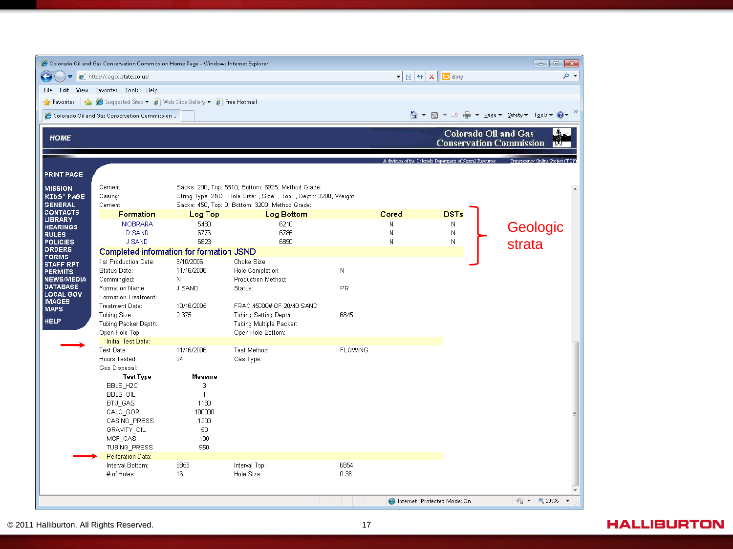|                                     | Colorado Oil and Gas Conservation Commission Home Page - Windows Internet Explorer                                         |                |                                                                                                                       |                |                                                                                              |                                                            |                                           |
|-------------------------------------|----------------------------------------------------------------------------------------------------------------------------|----------------|-----------------------------------------------------------------------------------------------------------------------|----------------|----------------------------------------------------------------------------------------------|------------------------------------------------------------|-------------------------------------------|
|                                     | http://cogcc.state.co.us/                                                                                                  |                |                                                                                                                       |                | $\mathbf{r} \times \mathbf{r}$ $\mathbf{r} \times \mathbf{r}$ $\mathbf{r} \times \mathbf{r}$ | - م                                                        |                                           |
|                                     | File Edit View Favorites Tools Help                                                                                        |                |                                                                                                                       |                |                                                                                              |                                                            |                                           |
| <b>P</b> Favorites                  | $\frac{1}{2}$ $\frac{1}{2}$ Suquested Sites $\bullet$ $\frac{1}{2}$ Web Slice Gallery $\bullet$ $\frac{1}{2}$ Free Hotmail |                |                                                                                                                       |                |                                                                                              |                                                            |                                           |
|                                     | Colorado Oil and Gas Conservation Commission                                                                               |                |                                                                                                                       |                |                                                                                              |                                                            | 谷▼同▼□ 臝▼ Page▼ Safety▼ T <u>o</u> ols▼ @▼ |
|                                     |                                                                                                                            |                |                                                                                                                       |                |                                                                                              | <b>Colorado Oil and Gas</b>                                |                                           |
| <b>HOME</b>                         |                                                                                                                            |                |                                                                                                                       |                |                                                                                              |                                                            | <b>Conservation Commission</b>            |
|                                     |                                                                                                                            |                |                                                                                                                       |                |                                                                                              | A division of the Colorado Department of Natural Resources | Transparency Online Project (TC           |
|                                     |                                                                                                                            |                |                                                                                                                       |                |                                                                                              |                                                            |                                           |
| <b>PRINT PAGE</b>                   |                                                                                                                            |                |                                                                                                                       |                |                                                                                              |                                                            |                                           |
| <b>MISSION</b>                      | Cement:                                                                                                                    |                | Sacks: 200, Top: 5810, Bottom: 6925, Method Grade:                                                                    |                |                                                                                              |                                                            |                                           |
| KIDS' PAGE<br><b>GENERAL</b>        | Casing:<br>Cement:                                                                                                         |                | String Type: 2ND, Hole Size: , Size: , Top: , Depth: 3200, Weight:<br>Sacks: 450, Top: 0, Bottom: 3200, Method Grade: |                |                                                                                              |                                                            |                                           |
| <b>CONTACTS</b>                     | <b>Formation</b>                                                                                                           | Log Top        | <b>Log Bottom</b>                                                                                                     |                | Cored                                                                                        | <b>DSTs</b>                                                |                                           |
| <b>LIBRARY</b>                      | <b>NIOBRARA</b>                                                                                                            | 5480           | 6210                                                                                                                  |                | N                                                                                            | N                                                          |                                           |
| <b>HEARINGS</b><br><b>RULES</b>     | <b>D SAND</b>                                                                                                              | 6776           | 6786                                                                                                                  |                | N                                                                                            | N                                                          | Geologic                                  |
| <b>POLICIES</b>                     | <b>J SAND</b>                                                                                                              | 6823           | 6890                                                                                                                  |                | N                                                                                            | N                                                          | strata                                    |
| <b>ORDERS</b>                       | <b>Completed information for formation JSND</b>                                                                            |                |                                                                                                                       |                |                                                                                              |                                                            |                                           |
| <b>FORMS</b><br><b>STAFF RPT</b>    | 1st Production Date:                                                                                                       | 3/10/2006      | Choke Size:                                                                                                           |                |                                                                                              |                                                            |                                           |
| <b>PERMITS</b>                      | Status Date:                                                                                                               | 11/16/2006     | Hole Completion:                                                                                                      | И              |                                                                                              |                                                            |                                           |
| <b>NEWS/MEDIA</b>                   | Commingled:                                                                                                                | N              | Production Method:                                                                                                    |                |                                                                                              |                                                            |                                           |
| <b>DATABASE</b><br><b>LOCAL GOV</b> | Formation Name:                                                                                                            | J SAND         | Status:                                                                                                               | PR.            |                                                                                              |                                                            |                                           |
| <b>IMAGES</b>                       | Formation Treatment:                                                                                                       |                |                                                                                                                       |                |                                                                                              |                                                            |                                           |
| <b>MAPS</b>                         | Treatment Date:                                                                                                            | 10/16/2005     | FRAC 45000# OF 20/40 SAND                                                                                             |                |                                                                                              |                                                            |                                           |
| <b>HELP</b>                         | Tubing Size:<br>Tubing Packer Depth:                                                                                       | 2.375          | Tubing Setting Depth:<br>Tubing Multiple Packer:                                                                      | 6845           |                                                                                              |                                                            |                                           |
|                                     | Open Hole Top:                                                                                                             |                | Open Hole Bottom:                                                                                                     |                |                                                                                              |                                                            |                                           |
|                                     | Initial Test Data:                                                                                                         |                |                                                                                                                       |                |                                                                                              |                                                            |                                           |
|                                     | Test Date:                                                                                                                 | 11/16/2006     | Test Method:                                                                                                          | <b>FLOWING</b> |                                                                                              |                                                            |                                           |
|                                     | Hours Tested:                                                                                                              | 24             | Gas Type:                                                                                                             |                |                                                                                              |                                                            |                                           |
|                                     | Gas Disposal:                                                                                                              |                |                                                                                                                       |                |                                                                                              |                                                            |                                           |
|                                     | <b>Test Type</b>                                                                                                           | <b>Measure</b> |                                                                                                                       |                |                                                                                              |                                                            |                                           |
|                                     | BBLS H2O                                                                                                                   | 3              |                                                                                                                       |                |                                                                                              |                                                            |                                           |
|                                     | BBLS_OIL                                                                                                                   | $\mathbf{1}$   |                                                                                                                       |                |                                                                                              |                                                            |                                           |
|                                     | BTU GAS                                                                                                                    | 1180           |                                                                                                                       |                |                                                                                              |                                                            |                                           |
|                                     | CALC GOR<br>CASING_PRESS                                                                                                   | 100000<br>1200 |                                                                                                                       |                |                                                                                              |                                                            |                                           |
|                                     | GRAVITY_OIL                                                                                                                | 50             |                                                                                                                       |                |                                                                                              |                                                            |                                           |
|                                     | MCF_GAS                                                                                                                    | 100            |                                                                                                                       |                |                                                                                              |                                                            |                                           |
|                                     | TUBING PRESS                                                                                                               | 950            |                                                                                                                       |                |                                                                                              |                                                            |                                           |
|                                     | Perforation Data:                                                                                                          |                |                                                                                                                       |                |                                                                                              |                                                            |                                           |
|                                     | Interval Bottom:                                                                                                           | 6858           | Interval Top:                                                                                                         | 6854           |                                                                                              |                                                            |                                           |
|                                     | # of Holes:                                                                                                                | 16             | Hole Size:                                                                                                            | 0.38           |                                                                                              |                                                            |                                           |
|                                     |                                                                                                                            |                |                                                                                                                       |                |                                                                                              |                                                            |                                           |
|                                     |                                                                                                                            |                |                                                                                                                       |                |                                                                                              |                                                            | $\frac{1}{2}$ + $\frac{1}{2}$ 100% +      |
|                                     |                                                                                                                            |                |                                                                                                                       |                |                                                                                              | Internet   Protected Mode: On                              |                                           |

#### © 2011 Halliburton. All Rights Reserved. 17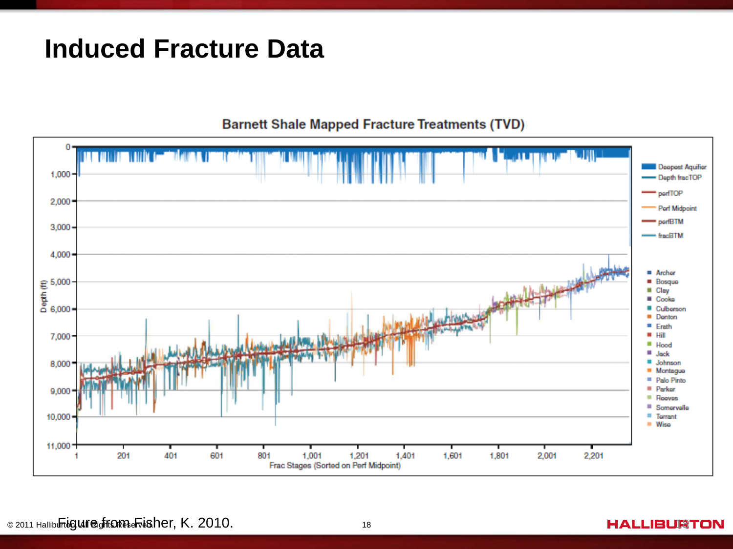#### **Induced Fracture Data**

#### **Barnett Shale Mapped Fracture Treatments (TVD)**

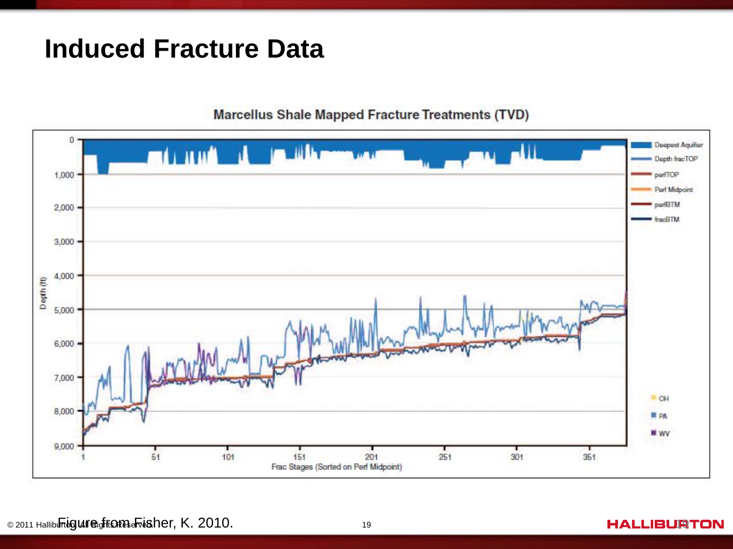#### **Induced Fracture Data**

**Marcellus Shale Mapped Fracture Treatments (TVD)** 

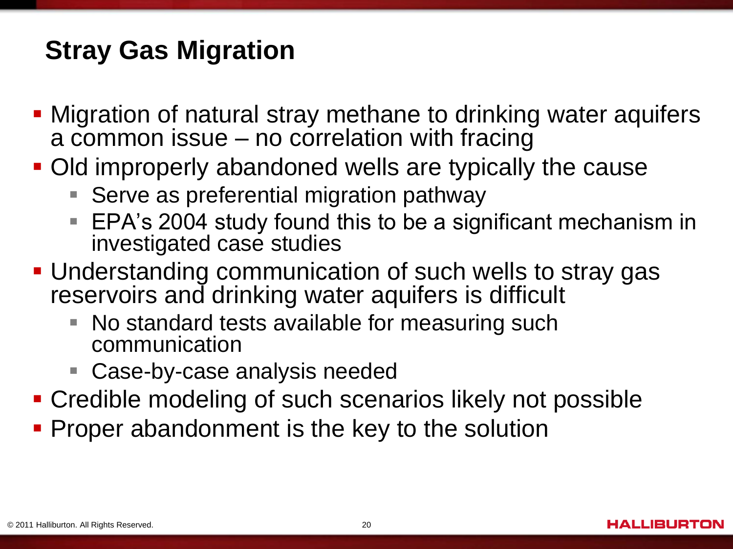# **Stray Gas Migration**

- Migration of natural stray methane to drinking water aquifers a common issue – no correlation with fracing
- Old improperly abandoned wells are typically the cause
	- **Serve as preferential migration pathway**
	- EPA's 2004 study found this to be a significant mechanism in investigated case studies
- **Understanding communication of such wells to stray gas** reservoirs and drinking water aquifers is difficult
	- No standard tests available for measuring such communication
	- Case-by-case analysis needed
- **Credible modeling of such scenarios likely not possible**
- **Proper abandonment is the key to the solution**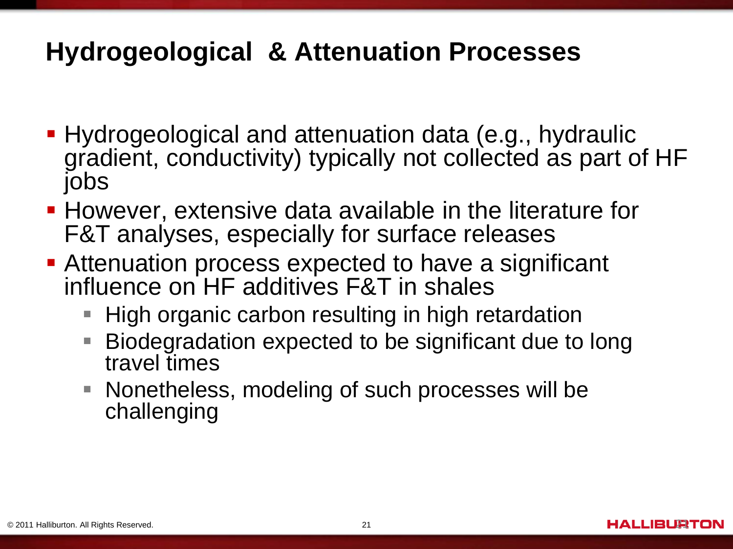## **Hydrogeological & Attenuation Processes**

- **Hydrogeological and attenuation data (e.g., hydraulic** gradient, conductivity) typically not collected as part of HF jobs
- **However, extensive data available in the literature for** F&T analyses, especially for surface releases
- **Attenuation process expected to have a significant** influence on HF additives F&T in shales
	- High organic carbon resulting in high retardation
	- Biodegradation expected to be significant due to long travel times
	- Nonetheless, modeling of such processes will be challenging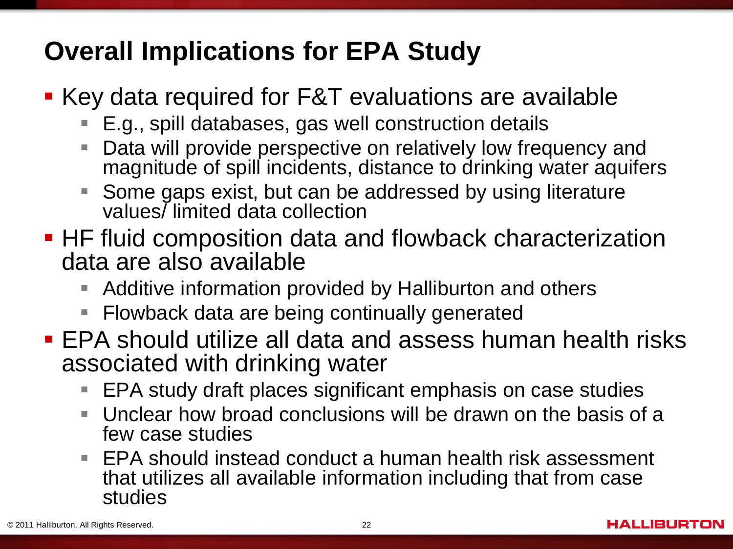# **Overall Implications for EPA Study**

- Key data required for F&T evaluations are available
	- ш E.g., spill databases, gas well construction details
	- $\overline{\mathbb{R}}$ Data will provide perspective on relatively low frequency and magnitude of spill incidents, distance to drinking water aquifers
	- $\Box$ Some gaps exist, but can be addressed by using literature values/ limited data collection
- **HF fluid composition data and flowback characterization** data are also available
	- $\overline{\phantom{a}}$ Additive information provided by Halliburton and others
	- Flowback data are being continually generated
- EPA should utilize all data and assess human health risks associated with drinking water
	- $\overline{\phantom{a}}$ EPA study draft places significant emphasis on case studies
	- T. Unclear how broad conclusions will be drawn on the basis of a few case studies
	- $\mathbb{R}^3$ EPA should instead conduct a human health risk assessment that utilizes all available information including that from case studies